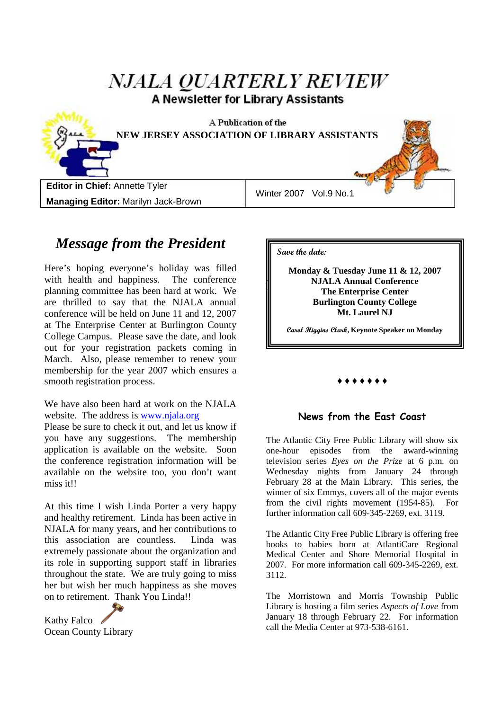| <i>NJALA QUARTERLY REVIEW</i><br>A Newsletter for Library Assistants |                        |  |  |  |  |
|----------------------------------------------------------------------|------------------------|--|--|--|--|
| A Publication of the<br>NEW JERSEY ASSOCIATION OF LIBRARY ASSISTANTS |                        |  |  |  |  |
| Editor in Chief: Annette Tyler                                       | Winter 2007 Vol.9 No.1 |  |  |  |  |
| <b>Managing Editor: Marilyn Jack-Brown</b>                           |                        |  |  |  |  |

# *Message from the President*

Here's hoping everyone's holiday was filled with health and happiness. The conference planning committee has been hard at work. We are thrilled to say that the NJALA annual conference will be held on June 11 and 12, 2007 at The Enterprise Center at Burlington County College Campus. Please save the date, and look out for your registration packets coming in March. Also, please remember to renew your membership for the year 2007 which ensures a smooth registration process.

We have also been hard at work on the NJALA website. The address is www.njala.org

Please be sure to check it out, and let us know if you have any suggestions. The membership application is available on the website. Soon the conference registration information will be available on the website too, you don't want miss it!!

At this time I wish Linda Porter a very happy and healthy retirement. Linda has been active in NJALA for many years, and her contributions to this association are countless. Linda was extremely passionate about the organization and its role in supporting support staff in libraries throughout the state. We are truly going to miss her but wish her much happiness as she moves on to retirement. Thank You Linda!!

Kathy Falco *♦* Ocean County Library **Save the date:**

 $\parallel$ **Monday & Tuesday June 11 & 12, 2007 NJALA Annual Conference The Enterprise Center Burlington County College Mt. Laurel NJ** 

**Carol Higgins Clark, Keynote Speaker on Monday** 

## ♦ ♦ ♦ ♦ ♦ ♦ ♦

## **News from the East Coast**

The Atlantic City Free Public Library will show six one-hour episodes from the award-winning television series *Eyes on the Prize* at 6 p.m. on Wednesday nights from January 24 through February 28 at the Main Library. This series, the winner of six Emmys, covers all of the major events from the civil rights movement (1954-85). For further information call 609-345-2269, ext. 3119.

The Atlantic City Free Public Library is offering free books to babies born at AtlantiCare Regional Medical Center and Shore Memorial Hospital in 2007. For more information call 609-345-2269, ext. 3112.

The Morristown and Morris Township Public Library is hosting a film series *Aspects of Love* from January 18 through February 22. For information call the Media Center at 973-538-6161.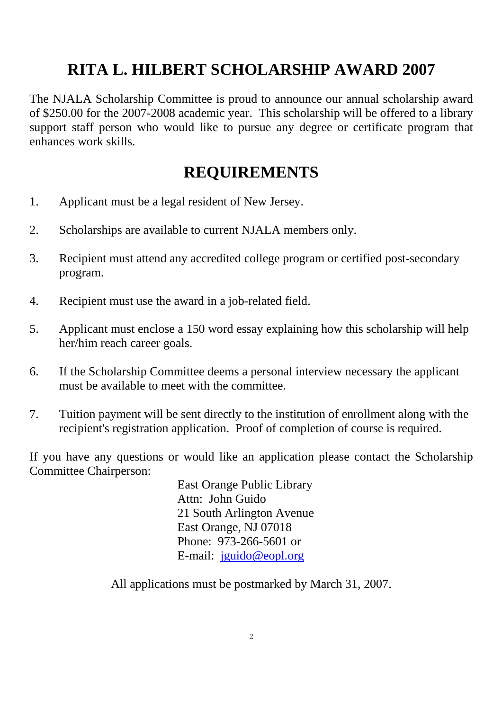# **RITA L. HILBERT SCHOLARSHIP AWARD 2007**

The NJALA Scholarship Committee is proud to announce our annual scholarship award of \$250.00 for the 2007-2008 academic year. This scholarship will be offered to a library support staff person who would like to pursue any degree or certificate program that enhances work skills.

# **REQUIREMENTS**

- 1. Applicant must be a legal resident of New Jersey.
- 2. Scholarships are available to current NJALA members only.
- 3. Recipient must attend any accredited college program or certified post-secondary program.
- 4. Recipient must use the award in a job-related field.
- 5. Applicant must enclose a 150 word essay explaining how this scholarship will help her/him reach career goals.
- 6. If the Scholarship Committee deems a personal interview necessary the applicant must be available to meet with the committee.
- 7. Tuition payment will be sent directly to the institution of enrollment along with the recipient's registration application. Proof of completion of course is required.

If you have any questions or would like an application please contact the Scholarship Committee Chairperson:

> East Orange Public Library Attn: John Guido 21 South Arlington Avenue East Orange, NJ 07018 Phone: 973-266-5601 or E-mail: jguido@eopl.org

All applications must be postmarked by March 31, 2007.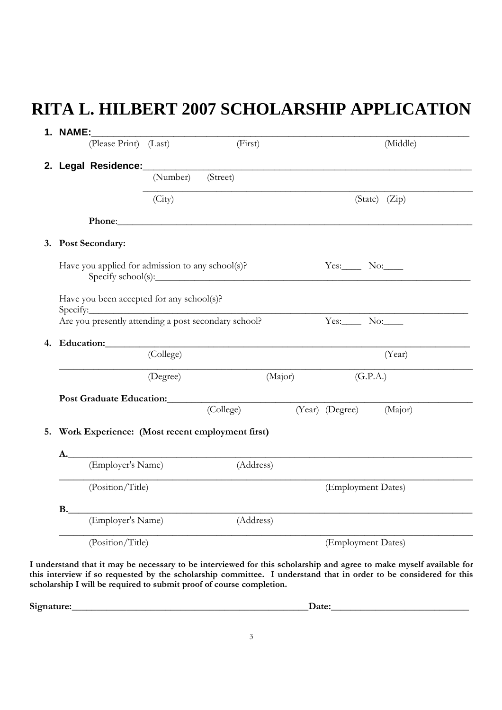# **RITA L. HILBERT 2007 SCHOLARSHIP APPLICATION**

|           | 1. NAME:<br>(Please Print) (Last)                                                                                                                                                                                             | (First)   | (Middle)               |
|-----------|-------------------------------------------------------------------------------------------------------------------------------------------------------------------------------------------------------------------------------|-----------|------------------------|
|           |                                                                                                                                                                                                                               |           |                        |
|           | (Number)                                                                                                                                                                                                                      | (Street)  |                        |
|           |                                                                                                                                                                                                                               |           |                        |
|           | (City)                                                                                                                                                                                                                        |           | (State) (Zip)          |
|           | Phone: Note and the set of the set of the set of the set of the set of the set of the set of the set of the set of the set of the set of the set of the set of the set of the set of the set of the set of the set of the set |           |                        |
|           | 3. Post Secondary:                                                                                                                                                                                                            |           |                        |
|           | Have you applied for admission to any school(s)?                                                                                                                                                                              |           | $Yes.$ No: $\_\_$      |
|           | Have you been accepted for any school(s)?                                                                                                                                                                                     |           |                        |
|           |                                                                                                                                                                                                                               |           | Yes: $\_\_$ No: $\_\_$ |
| 4.        |                                                                                                                                                                                                                               |           |                        |
|           | Education: (College)                                                                                                                                                                                                          |           | (Year)                 |
|           | (Degree)                                                                                                                                                                                                                      | (Major)   | (G.P.A.)               |
|           | Post Graduate Education: (College) (Year) (Degree)                                                                                                                                                                            |           |                        |
|           |                                                                                                                                                                                                                               |           | (Major)                |
|           |                                                                                                                                                                                                                               |           |                        |
|           | Work Experience: (Most recent employment first)                                                                                                                                                                               |           |                        |
| А.        |                                                                                                                                                                                                                               |           |                        |
|           | (Employer's Name)                                                                                                                                                                                                             | (Address) |                        |
|           | (Position/Title)                                                                                                                                                                                                              |           | (Employment Dates)     |
| <b>B.</b> |                                                                                                                                                                                                                               |           |                        |
|           | (Employer's Name)                                                                                                                                                                                                             | (Address) |                        |

**I understand that it may be necessary to be interviewed for this scholarship and agree to make myself available for this interview if so requested by the scholarship committee. I understand that in order to be considered for this scholarship I will be required to submit proof of course completion.** 

**Signature:\_\_\_\_\_\_\_\_\_\_\_\_\_\_\_\_\_\_\_\_\_\_\_\_\_\_\_\_\_\_\_\_\_\_\_\_\_\_\_\_\_\_\_\_\_\_\_\_Date:\_\_\_\_\_\_\_\_\_\_\_\_\_\_\_\_\_\_\_\_\_\_\_\_\_\_\_\_**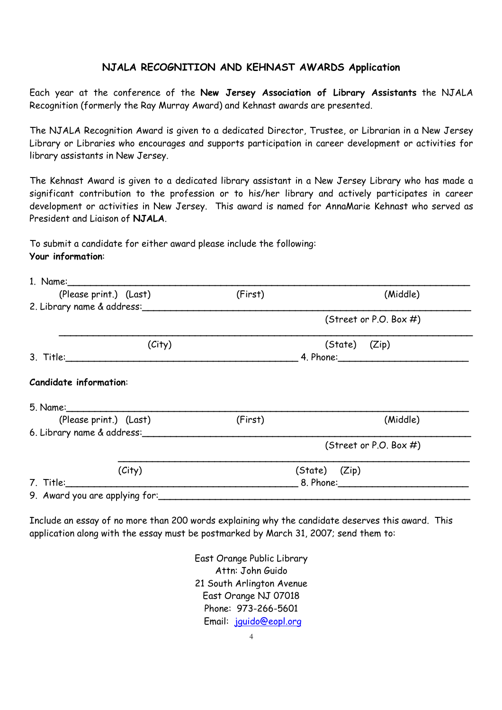## **NJALA RECOGNITION AND KEHNAST AWARDS Application**

Each year at the conference of the **New Jersey Association of Library Assistants** the NJALA Recognition (formerly the Ray Murray Award) and Kehnast awards are presented.

The NJALA Recognition Award is given to a dedicated Director, Trustee, or Librarian in a New Jersey Library or Libraries who encourages and supports participation in career development or activities for library assistants in New Jersey.

The Kehnast Award is given to a dedicated library assistant in a New Jersey Library who has made a significant contribution to the profession or to his/her library and actively participates in career development or activities in New Jersey. This award is named for AnnaMarie Kehnast who served as President and Liaison of **NJALA**.

To submit a candidate for either award please include the following: **Your information**:

| (Please print.) (Last)         | (First) | (Middle)                  |  |
|--------------------------------|---------|---------------------------|--|
| 2. Library name & address:     |         |                           |  |
|                                |         | (Street or P.O. Box $#$ ) |  |
| (City)                         |         | (State) (Zip)             |  |
|                                |         |                           |  |
| <b>Candidate information:</b>  |         |                           |  |
| (Please print.) (Last)         | (First) | (Middle)                  |  |
| 6. Library name & address:     |         |                           |  |
|                                |         | (Street or P.O. Box $#$ ) |  |
| (City)                         |         | (State) (Zip)             |  |
|                                |         |                           |  |
| 9. Award you are applying for: |         |                           |  |

Include an essay of no more than 200 words explaining why the candidate deserves this award. This application along with the essay must be postmarked by March 31, 2007; send them to:

> East Orange Public Library Attn: John Guido 21 South Arlington Avenue East Orange NJ 07018 Phone: 973-266-5601 Email: jguido@eopl.org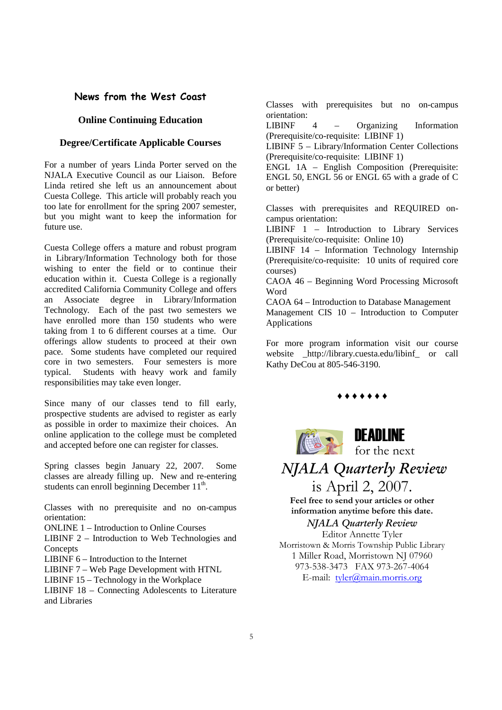## **News from the West Coast**

#### **Online Continuing Education**

### **Degree/Certificate Applicable Courses**

For a number of years Linda Porter served on the NJALA Executive Council as our Liaison. Before Linda retired she left us an announcement about Cuesta College. This article will probably reach you too late for enrollment for the spring 2007 semester, but you might want to keep the information for future use.

Cuesta College offers a mature and robust program in Library/Information Technology both for those wishing to enter the field or to continue their education within it. Cuesta College is a regionally accredited California Community College and offers an Associate degree in Library/Information Technology. Each of the past two semesters we have enrolled more than 150 students who were taking from 1 to 6 different courses at a time. Our offerings allow students to proceed at their own pace. Some students have completed our required core in two semesters. Four semesters is more typical. Students with heavy work and family responsibilities may take even longer.

Since many of our classes tend to fill early, prospective students are advised to register as early as possible in order to maximize their choices. An online application to the college must be completed and accepted before one can register for classes.

Spring classes begin January 22, 2007. Some classes are already filling up. New and re-entering students can enroll beginning December  $11<sup>th</sup>$ .

Classes with no prerequisite and no on-campus orientation:

ONLINE 1 – Introduction to Online Courses

LIBINF 2 – Introduction to Web Technologies and **Concepts** 

LIBINF 6 – Introduction to the Internet

LIBINF 7 – Web Page Development with HTNL

LIBINF 15 – Technology in the Workplace

LIBINF 18 – Connecting Adolescents to Literature and Libraries

Classes with prerequisites but no on-campus orientation:

LIBINF 4 – Organizing Information (Prerequisite/co-requisite: LIBINF 1)

LIBINF 5 – Library/Information Center Collections (Prerequisite/co-requisite: LIBINF 1)

ENGL 1A – English Composition (Prerequisite: ENGL 50, ENGL 56 or ENGL 65 with a grade of C or better)

Classes with prerequisites and REQUIRED oncampus orientation:

LIBINF 1 – Introduction to Library Services (Prerequisite/co-requisite: Online 10)

LIBINF 14 – Information Technology Internship (Prerequisite/co-requisite: 10 units of required core courses)

CAOA 46 – Beginning Word Processing Microsoft Word

CAOA 64 – Introduction to Database Management Management CIS 10 – Introduction to Computer Applications

For more program information visit our course website \_http://library.cuesta.edu/libinf\_ or call Kathy DeCou at 805-546-3190.

♦ ♦ ♦ ♦ ♦ ♦ ♦



for the next

 *NJALA Quarterly Review* is April 2, 2007.

**Feel free to send your articles or other information anytime before this date.** 

*NJALA Quarterly Review*

Editor Annette Tyler Morristown & Morris Township Public Library 1 Miller Road, Morristown NJ 07960 973-538-3473 FAX 973-267-4064 E-mail: tyler@main.morris.org